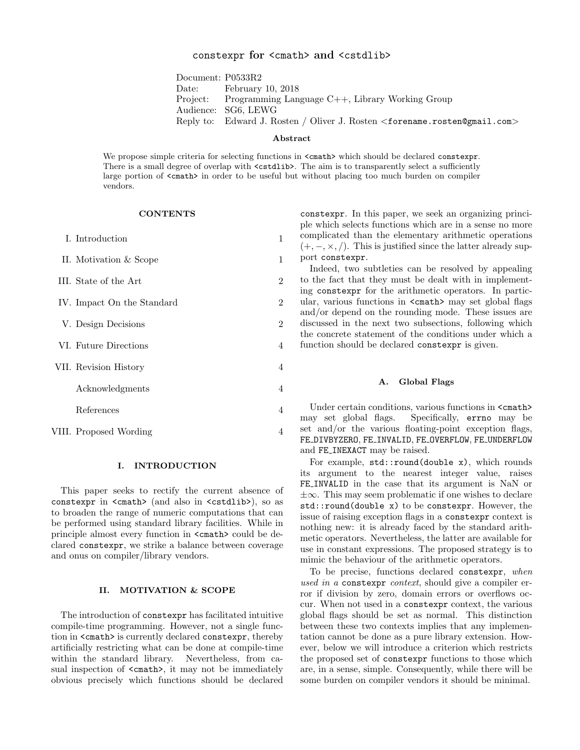# constexpr for <cmath> and <cstdlib>

Document: P0533R2 Date: February 10, 2018 Project: Programming Language C++, Library Working Group Audience: SG6, LEWG Reply to: Edward J. Rosten / Oliver J. Rosten <forename.rosten@gmail.com>

#### Abstract

We propose simple criteria for selecting functions in <cmath> which should be declared constexpr. There is a small degree of overlap with  $\lt$ cstdlib>. The aim is to transparently select a sufficiently large portion of  $\zeta$  cmath> in order to be useful but without placing too much burden on compiler vendors.

# **CONTENTS**

| I. Introduction            | 1              |
|----------------------------|----------------|
| II. Motivation & Scope     | 1              |
| III. State of the Art      | $\overline{2}$ |
| IV. Impact On the Standard | 2              |
| V. Design Decisions        | $\overline{2}$ |
| VI. Future Directions      | 4              |
| VII. Revision History      | $\overline{4}$ |
| Acknowledgments            | 4              |
| References                 | 4              |
| VIII. Proposed Wording     | 4              |

#### I. INTRODUCTION

This paper seeks to rectify the current absence of constexpr in <cmath> (and also in <cstdlib>), so as to broaden the range of numeric computations that can be performed using standard library facilities. While in principle almost every function in  $\text{cmath}$  could be declared constexpr, we strike a balance between coverage and onus on compiler/library vendors.

## II. MOTIVATION & SCOPE

The introduction of constexpr has facilitated intuitive compile-time programming. However, not a single function in <cmath> is currently declared constexpr, thereby artificially restricting what can be done at compile-time within the standard library. Nevertheless, from casual inspection of  $\{\text{Cmath}\}$ , it may not be immediately obvious precisely which functions should be declared

constexpr. In this paper, we seek an organizing principle which selects functions which are in a sense no more complicated than the elementary arithmetic operations  $(+, -, \times, /).$  This is justified since the latter already support constexpr.

Indeed, two subtleties can be resolved by appealing to the fact that they must be dealt with in implementing constexpr for the arithmetic operators. In particular, various functions in  $\text{cmath}$  may set global flags and/or depend on the rounding mode. These issues are discussed in the next two subsections, following which the concrete statement of the conditions under which a function should be declared constexpr is given.

#### A. Global Flags

Under certain conditions, various functions in  $\text{cmath}$ may set global flags. Specifically, errno may be set and/or the various floating-point exception flags, FE DIVBYZERO, FE INVALID, FE OVERFLOW, FE UNDERFLOW and FE INEXACT may be raised.

For example, std::round(double x), which rounds its argument to the nearest integer value, raises FE INVALID in the case that its argument is NaN or ±∞. This may seem problematic if one wishes to declare std::round(double x) to be constexpr. However, the issue of raising exception flags in a constexpr context is nothing new: it is already faced by the standard arithmetic operators. Nevertheless, the latter are available for use in constant expressions. The proposed strategy is to mimic the behaviour of the arithmetic operators.

To be precise, functions declared constexpr, when used in a constexpr context, should give a compiler error if division by zero, domain errors or overflows occur. When not used in a constexpr context, the various global flags should be set as normal. This distinction between these two contexts implies that any implementation cannot be done as a pure library extension. However, below we will introduce a criterion which restricts the proposed set of constexpr functions to those which are, in a sense, simple. Consequently, while there will be some burden on compiler vendors it should be minimal.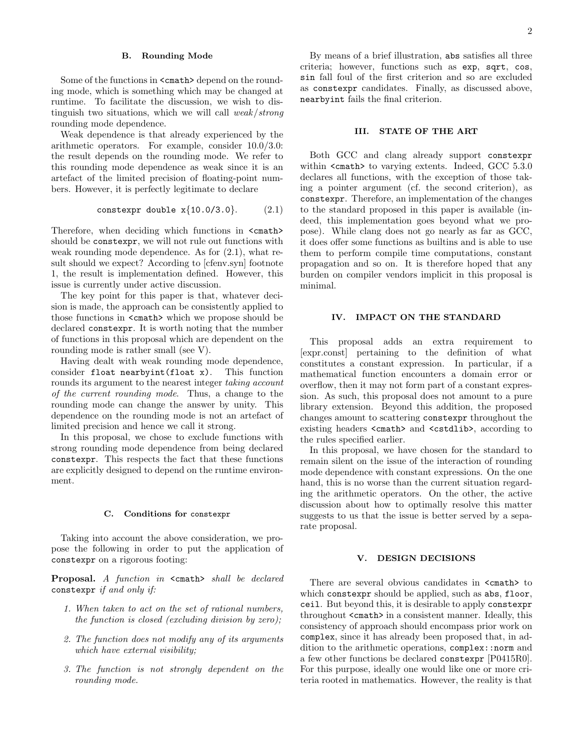## B. Rounding Mode

Some of the functions in  $\text{1}$   $\text{1}$   $\text{1}$  depend on the rounding mode, which is something which may be changed at runtime. To facilitate the discussion, we wish to distinguish two situations, which we will call weak/strong rounding mode dependence.

Weak dependence is that already experienced by the arithmetic operators. For example, consider 10.0/3.0: the result depends on the rounding mode. We refer to this rounding mode dependence as weak since it is an artefact of the limited precision of floating-point numbers. However, it is perfectly legitimate to declare

$$
constexpr double x{10.0/3.0}.
$$
 (2.1)

Therefore, when deciding which functions in  $\text{1}$ should be constexpr, we will not rule out functions with weak rounding mode dependence. As for (2.1), what result should we expect? According to [cfenv.syn] footnote 1, the result is implementation defined. However, this issue is currently under active discussion.

The key point for this paper is that, whatever decision is made, the approach can be consistently applied to those functions in  $\text{1}$   $\text{1}$   $\text{1}$   $\text{1}$  which we propose should be declared constexpr. It is worth noting that the number of functions in this proposal which are dependent on the rounding mode is rather small (see V).

Having dealt with weak rounding mode dependence, consider float nearbyint(float x). This function rounds its argument to the nearest integer taking account of the current rounding mode. Thus, a change to the rounding mode can change the answer by unity. This dependence on the rounding mode is not an artefact of limited precision and hence we call it strong.

In this proposal, we chose to exclude functions with strong rounding mode dependence from being declared constexpr. This respects the fact that these functions are explicitly designed to depend on the runtime environment.

#### C. Conditions for constexpr

Taking into account the above consideration, we propose the following in order to put the application of constexpr on a rigorous footing:

Proposal. A function in <cmath> shall be declared constexpr if and only if:

- 1. When taken to act on the set of rational numbers, the function is closed (excluding division by zero);
- 2. The function does not modify any of its arguments which have external visibility;
- 3. The function is not strongly dependent on the rounding mode.

By means of a brief illustration, abs satisfies all three criteria; however, functions such as exp, sqrt, cos, sin fall foul of the first criterion and so are excluded as constexpr candidates. Finally, as discussed above, nearbyint fails the final criterion.

## III. STATE OF THE ART

Both GCC and clang already support constexpr within <cmath> to varying extents. Indeed, GCC 5.3.0 declares all functions, with the exception of those taking a pointer argument (cf. the second criterion), as constexpr. Therefore, an implementation of the changes to the standard proposed in this paper is available (indeed, this implementation goes beyond what we propose). While clang does not go nearly as far as GCC, it does offer some functions as builtins and is able to use them to perform compile time computations, constant propagation and so on. It is therefore hoped that any burden on compiler vendors implicit in this proposal is minimal.

#### IV. IMPACT ON THE STANDARD

This proposal adds an extra requirement to [expr.const] pertaining to the definition of what constitutes a constant expression. In particular, if a mathematical function encounters a domain error or overflow, then it may not form part of a constant expression. As such, this proposal does not amount to a pure library extension. Beyond this addition, the proposed changes amount to scattering constexpr throughout the existing headers <cmath> and <cstdlib>, according to the rules specified earlier.

In this proposal, we have chosen for the standard to remain silent on the issue of the interaction of rounding mode dependence with constant expressions. On the one hand, this is no worse than the current situation regarding the arithmetic operators. On the other, the active discussion about how to optimally resolve this matter suggests to us that the issue is better served by a separate proposal.

#### V. DESIGN DECISIONS

There are several obvious candidates in  $\text{1}$   $\text{1}$  to which constexpr should be applied, such as abs, floor, ceil. But beyond this, it is desirable to apply constexpr throughout <cmath> in a consistent manner. Ideally, this consistency of approach should encompass prior work on complex, since it has already been proposed that, in addition to the arithmetic operations, complex::norm and a few other functions be declared constexpr [P0415R0]. For this purpose, ideally one would like one or more criteria rooted in mathematics. However, the reality is that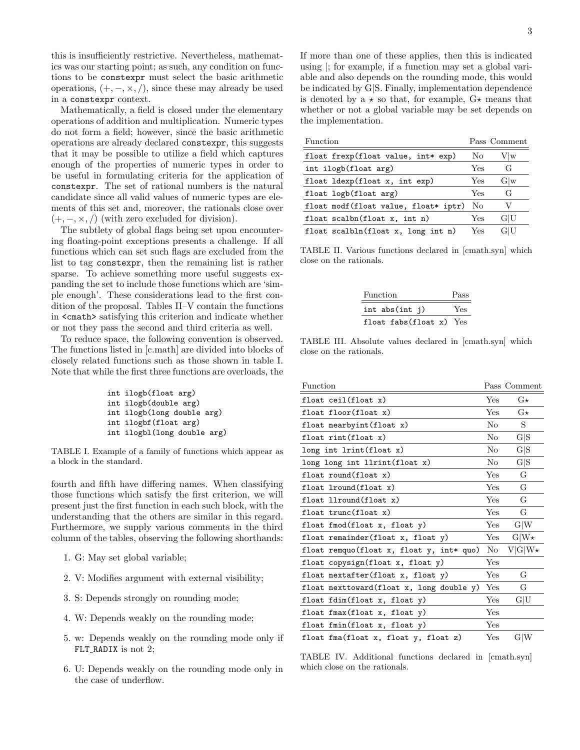this is insufficiently restrictive. Nevertheless, mathematics was our starting point; as such, any condition on functions to be constexpr must select the basic arithmetic operations,  $(+, -, \times, /),$  since these may already be used in a constexpr context.

Mathematically, a field is closed under the elementary operations of addition and multiplication. Numeric types do not form a field; however, since the basic arithmetic operations are already declared constexpr, this suggests that it may be possible to utilize a field which captures enough of the properties of numeric types in order to be useful in formulating criteria for the application of constexpr. The set of rational numbers is the natural candidate since all valid values of numeric types are elements of this set and, moreover, the rationals close over  $(+, -, \times, /)$  (with zero excluded for division).

The subtlety of global flags being set upon encountering floating-point exceptions presents a challenge. If all functions which can set such flags are excluded from the list to tag constexpr, then the remaining list is rather sparse. To achieve something more useful suggests expanding the set to include those functions which are 'simple enough'. These considerations lead to the first condition of the proposal. Tables II–V contain the functions in <cmath> satisfying this criterion and indicate whether or not they pass the second and third criteria as well.

To reduce space, the following convention is observed. The functions listed in [c.math] are divided into blocks of closely related functions such as those shown in table I. Note that while the first three functions are overloads, the

| int ilogb(float arg)        |
|-----------------------------|
| int ilogb(double arg)       |
| int ilogb(long double arg)  |
| int ilogbf (float arg)      |
| int ilogbl(long double arg) |

TABLE I. Example of a family of functions which appear as a block in the standard.

fourth and fifth have differing names. When classifying those functions which satisfy the first criterion, we will present just the first function in each such block, with the understanding that the others are similar in this regard. Furthermore, we supply various comments in the third column of the tables, observing the following shorthands:

- 1. G: May set global variable;
- 2. V: Modifies argument with external visibility;
- 3. S: Depends strongly on rounding mode;
- 4. W: Depends weakly on the rounding mode;
- 5. w: Depends weakly on the rounding mode only if FLT\_RADIX is not 2;
- 6. U: Depends weakly on the rounding mode only in the case of underflow.

If more than one of these applies, then this is indicated using |; for example, if a function may set a global variable and also depends on the rounding mode, this would be indicated by G|S. Finally, implementation dependence is denoted by a  $\star$  so that, for example,  $G\star$  means that whether or not a global variable may be set depends on the implementation.

| Function                             |              | Pass Comment |
|--------------------------------------|--------------|--------------|
| float frexp(float value, int* exp)   | No           | $V \vert w$  |
| int ilogb(float arg)                 |              | G            |
| float ldexp(float x, int exp)        | Yes          | G w          |
| float logb(float arg)                | Yes          | G            |
| float modf(float value, float* iptr) | No           | V            |
| float $scalbn(flost x, int n)$       | $_{\rm Yes}$ | G U          |
| float scalbln(float x, long int n)   | Yes          | G U          |

TABLE II. Various functions declared in [cmath.syn] which close on the rationals.

| Function                      | Pass |
|-------------------------------|------|
| int abs $(int j)$             | Yes  |
| float fabs $(f$ loat x) $Yes$ |      |

TABLE III. Absolute values declared in [cmath.syn] which close on the rationals.

| Function                                 |     | Pass Comment |
|------------------------------------------|-----|--------------|
| float ceil(float x)                      | Yes | $G\star$     |
| float floor(float x)                     | Yes | $G\star$     |
| float nearbyint (float x)                | No  | S.           |
| float $rint(f$ loat $x)$                 | No  | G S          |
| $long$ int $limit(f$ loat x)             | No  | G S          |
| long long int llrint(float x)            | No  | G S          |
| float round(float x)                     | Yes | G            |
| float lround(float x)                    | Yes | G            |
| float llround(float x)                   | Yes | G            |
| float trunc(float x)                     | Yes | G            |
| float fmod(float $x$ , float $y$ )       | Yes | G W          |
| float remainder(float x, float y)        | Yes | $G W\star$   |
| float remquo(float x, float y, int* quo) | No  | $V G W\star$ |
| float copysign(float x, float y)         | Yes |              |
| float nextafter(float x, float y)        | Yes | G            |
| float nexttoward(float x, long double y) | Yes | G            |
| float fdim(float x, float y)             | Yes | G U          |
| float fmax(float x, float y)             | Yes |              |
| float fmin(float x, float y)             | Yes |              |
| float fma(float x, float y, float z)     | Yes | G W          |

TABLE IV. Additional functions declared in [cmath.syn] which close on the rationals.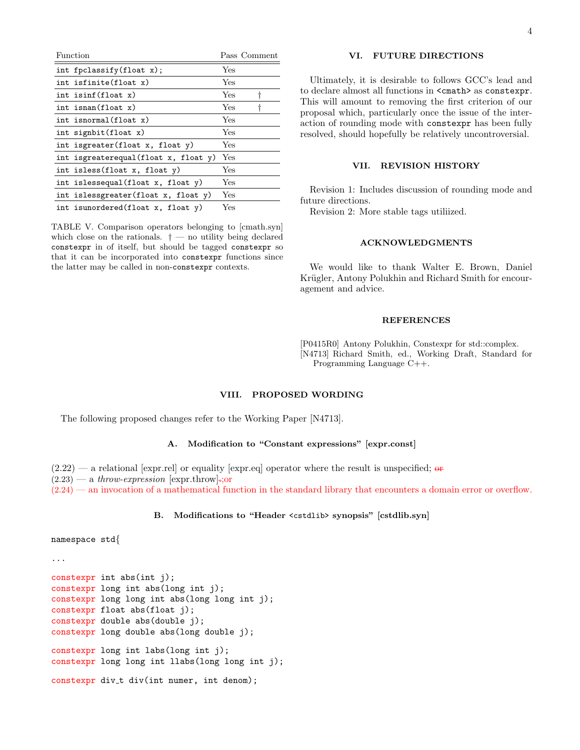| Function                     |                                      |      | Pass Comment |
|------------------------------|--------------------------------------|------|--------------|
| int fpclassify $(f$ loat x); |                                      | Yes  |              |
| int isfinite(float x)        |                                      | Yes  |              |
| int isinf(float x)           |                                      | Yes  |              |
| int isnan(float x)           |                                      | Yes  |              |
| int isnormal(float x)        |                                      | Yes  |              |
| int signbit $(f$ loat x)     |                                      | Yes  |              |
|                              | int isgreater(float x, float y)      | Yes. |              |
|                              | int isgreaterequal(float x, float y) | Yes  |              |
| int isless(float x, float y) |                                      | Yes  |              |
|                              | int islessequal(float x, float y)    | Yes  |              |
|                              | int islessgreater(float x, float y)  | Yes  |              |
|                              | int isunordered(float x, float y)    | Yes  |              |

TABLE V. Comparison operators belonging to [cmath.syn] which close on the rationals.  $\dagger$  — no utility being declared constexpr in of itself, but should be tagged constexpr so that it can be incorporated into constexpr functions since the latter may be called in non-constexpr contexts.

# VI. FUTURE DIRECTIONS

Ultimately, it is desirable to follows GCC's lead and to declare almost all functions in  $\texttt{ $z$  as constexpr.$ This will amount to removing the first criterion of our proposal which, particularly once the issue of the interaction of rounding mode with constexpr has been fully resolved, should hopefully be relatively uncontroversial.

## VII. REVISION HISTORY

Revision 1: Includes discussion of rounding mode and future directions.

Revision 2: More stable tags utiliized.

## ACKNOWLEDGMENTS

We would like to thank Walter E. Brown, Daniel Krügler, Antony Polukhin and Richard Smith for encouragement and advice.

#### **REFERENCES**

[P0415R0] Antony Polukhin, Constexpr for std::complex. [N4713] Richard Smith, ed., Working Draft, Standard for Programming Language C++.

## VIII. PROPOSED WORDING

The following proposed changes refer to the Working Paper [N4713].

## A. Modification to "Constant expressions" [expr.const]

 $(2.22)$  — a relational [expr.rel] or equality [expr.eq] operator where the result is unspecified;  $\sigma$  $(2.23)$  — a throw-expression [expr.throw]:;or

(2.24) — an invocation of a mathematical function in the standard library that encounters a domain error or overflow.

## B. Modifications to "Header <cstdlib> synopsis" [cstdlib.syn]

```
namespace std{
```
...

```
constexpr int abs(int j);
constexpr long int abs(long int j);
constexpr long long int abs(long long int j);
constexpr float abs(float j);
constexpr double abs(double j);
constexpr long double abs(long double j);
constexpr long int labs(long int j);
constexpr long long int llabs(long long int j);
constexpr div t div(int numer, int denom);
```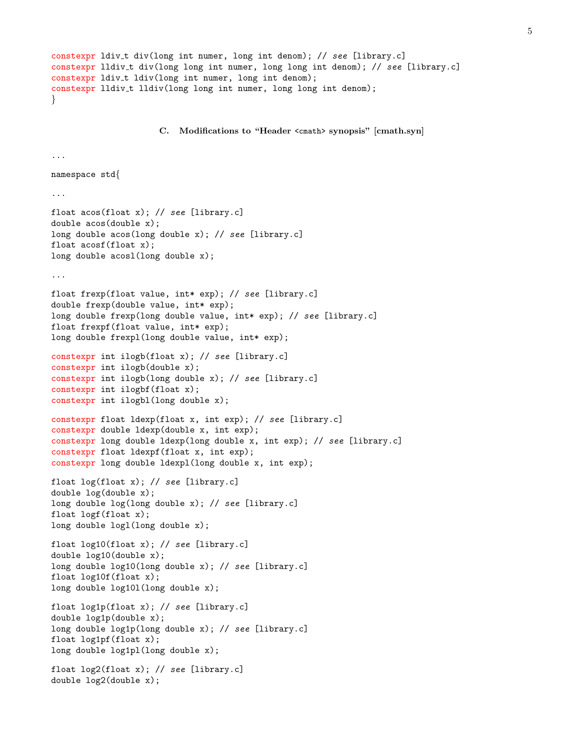```
constexpr ldiv t div(long int numer, long int denom); // see [library.c]
constexpr lldiv<sub>t</sub> div(long long int numer, long long int denom); // see [library.c]
constexpr ldiv_t ldiv(long int numer, long int denom);
constexpr lldiv_t lldiv(long long int numer, long long int denom);
}
                      C. Modifications to "Header <cmath> synopsis" [cmath.syn]
...
namespace std{
...
float acos(float x); // see [library.c]
double acos(double x);
long double acos(long double x); // see [library.c]
float acosf(float x);
long double acosl(long double x);
...
float frexp(float value, int* exp); // see [library.c]
double frexp(double value, int* exp);
long double frexp(long double value, int* exp); // see [library.c]
float frexpf(float value, int* exp);
long double frexpl(long double value, int* exp);
constexpr int ilogb(float x); // see [library.c]
constexpr int ilogb(double x);
constexpr int ilogb(long double x); // see [library.c]
constexpr int ilogbf(float x);
constexpr int ilogbl(long double x);
constexpr float ldexp(float x, int exp); // see [library.c]
constexpr double ldexp(double x, int exp);
constexpr long double ldexp(long double x, int exp); // see [library.c]
constexpr float ldexpf(float x, int exp);
constexpr long double ldexpl(long double x, int exp);
float log(float x); // see [library.c]
double log(double x);
long double log(long double x); // see [library.c]
float logf(float x);
long double logl(long double x);
float log10(float x); // see [library.c]
double log10(double x);
long double log10(long double x); // see [library.c]
float log10f(float x);
long double log10l(long double x);
float log1p(float x); // see [library.c]
double log1p(double x);
long double log1p(long double x); // see [library.c]
float log1pf(float x);
long double log1pl(long double x);
float log2(float x); // see [library.c]
double log2(double x);
```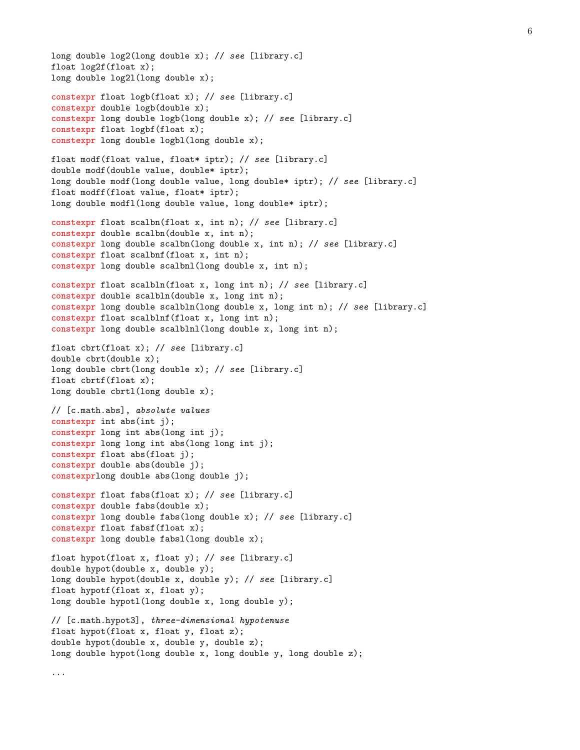```
long double log2(long double x); // see [library.c]
float log2f(float x);
long double log2l(long double x);
constexpr float logb(float x); // see [library.c]
constexpr double logb(double x);
constexpr long double logb(long double x); // see [library.c]
constexpr float logbf(float x);
constexpr long double logbl(long double x);
float modf(float value, float* iptr); // see [library.c]
double modf(double value, double* iptr);
long double modf(long double value, long double* iptr); // see [library.c]
float modff(float value, float* iptr);
long double modfl(long double value, long double* iptr);
constexpr float scalbn(float x, int n); // see [library.c]
constexpr double scalbn(double x, int n);
constexpr long double scalbn(long double x, int n); // see [library.c]
constexpr float scalbnf(float x, int n);
constexpr long double scalbnl(long double x, int n);
constexpr float scalbln(float x, long int n); // see [library.c]
constexpr double scalbln(double x, long int n);
constexpr long double scalbln(long double x, long int n); // see [library.c]
constexpr float scalblnf(float x, long int n);
constexpr long double scalblnl(long double x, long int n);
float cbrt(float x); // see [library.c]
double cbrt(double x);
long double cbrt(long double x); // see [library.c]
float cbrtf(float x);
long double cbrtl(long double x);
// [c.math.abs], absolute values
constexpr int abs(int j);
constexpr long int abs(long int j);
constexpr long long int abs(long long int j);
constexpr float abs(float j);
constexpr double abs(double j);
constexprlong double abs(long double j);
constexpr float fabs(float x); // see [library.c]
constexpr double fabs(double x);
constexpr long double fabs(long double x); // see [library.c]
constexpr float fabsf(float x);
constexpr long double fabsl(long double x);
float hypot(float x, float y); // see [library.c]
double hypot(double x, double y);
long double hypot(double x, double y); // see [library.c]
float hypotf(float x, float y);
long double hypotl(long double x, long double y);
// [c.math.hypot3], three-dimensional hypotenuse
float hypot(float x, float y, float z);
double hypot(double x, double y, double z);
long double hypot(long double x, long double y, long double z);
...
```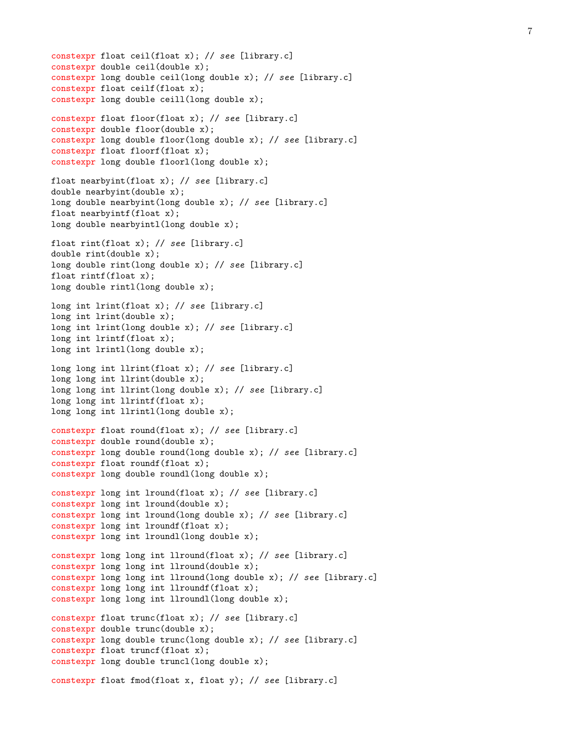```
constexpr float ceil(float x); // see [library.c]
constexpr double ceil(double x);
constexpr long double ceil(long double x); // see [library.c]
constexpr float ceilf(float x);
constexpr long double ceill(long double x);
constexpr float floor(float x); // see [library.c]
constexpr double floor(double x);
constexpr long double floor(long double x); // see [library.c]
constexpr float floorf(float x);
constexpr long double floorl(long double x);
float nearbyint(float x); // see [library.c]
double nearbyint(double x);
long double nearbyint(long double x); // see [library.c]
float nearbyintf(float x);
long double nearbyintl(long double x);
float rint(float x); // see [library.c]
double rint(double x);
long double rint(long double x); // see [library.c]
float rintf(float x);
long double rintl(long double x);
long int lrint(float x); // see [library.c]
long int lrint(double x);
long int lrint(long double x); // see [library.c]
long int lrintf(float x);
long int lrintl(long double x);
long long int llrint(float x); // see [library.c]
long long int llrint(double x);
long long int llrint(long double x); // see [library.c]
long long int llrintf(float x);
long long int llrintl(long double x);
constexpr float round(float x); // see [library.c]
constexpr double round(double x);
constexpr long double round(long double x); // see [library.c]
constexpr float roundf(float x);
constexpr long double roundl(long double x);
constexpr long int lround(float x); // see [library.c]
constexpr long int lround(double x);
constexpr long int lround(long double x); // see [library.c]
constexpr long int lroundf(float x);
constexpr long int lroundl(long double x);
constexpr long long int llround(float x); // see [library.c]
constexpr long long int llround(double x);
constexpr long long int llround(long double x); // see [library.c]
constexpr long long int llroundf(float x);
constexpr long long int llroundl(long double x);
constexpr float trunc(float x); // see [library.c]
constexpr double trunc(double x);
constexpr long double trunc(long double x); // see [library.c]
constexpr float truncf(float x);
constexpr long double truncl(long double x);
constexpr float fmod(float x, float y); // see [library.c]
```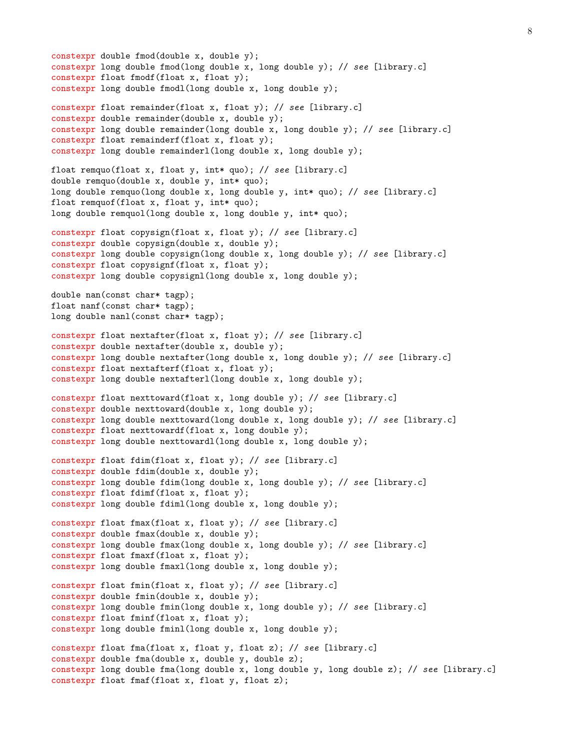```
constexpr double fmod(double x, double y);
constexpr long double fmod(long double x, long double y); // see [library.c]
constexpr float fmodf(float x, float y);
constexpr long double fmodl(long double x, long double y);
constexpr float remainder(float x, float y); // see [library.c]
constexpr double remainder(double x, double y);
constexpr long double remainder(long double x, long double y); // see [library.c]
constexpr float remainderf(float x, float y);
constexpr long double remainderl(long double x, long double y);
float remquo(float x, float y, int* quo); // see [library.c]
double remquo(double x, double y, int* quo);
long double remquo(long double x, long double y, int* quo); // see [library.c]
float remquof(float x, float y, int* quo);
long double remquol(long double x, long double y, int* quo);
constexpr float copysign(float x, float y); // see [library.c]
constexpr double copysign(double x, double y);
constexpr long double copysign(long double x, long double y); // see [library.c]
constexpr float copysignf(float x, float y);
constexpr long double copysignl(long double x, long double y);
double nan(const char* tagp);
float nanf(const char* tagp);
long double nanl(const char* tagp);
constexpr float nextafter(float x, float y); // see [library.c]
constexpr double nextafter(double x, double y);
constexpr long double nextafter(long double x, long double y); // see [library.c]
constexpr float nextafterf(float x, float y);
constexpr long double nextafterl(long double x, long double y);
constexpr float nexttoward(float x, long double y); // see [library.c]
constexpr double nexttoward(double x, long double y);
constexpr long double nexttoward(long double x, long double y); // see [library.c]
constexpr float nexttowardf(float x, long double y);
constexpr long double nexttowardl(long double x, long double y);
constexpr float fdim(float x, float y); // see [library.c]
constexpr double fdim(double x, double y);
constexpr long double fdim(long double x, long double y); // see [library.c]
constexpr float fdimf(float x, float y);
constexpr long double fdiml(long double x, long double y);
constexpr float fmax(float x, float y); // see [library.c]
constexpr double fmax(double x, double y);
constexpr long double fmax(long double x, long double y); // see [library.c]
constexpr float fmaxf(float x, float y);
constexpr long double fmaxl(long double x, long double y);
constexpr float fmin(float x, float y); // see [library.c]
constexpr double fmin(double x, double y);
constexpr long double fmin(long double x, long double y); // see [library.c]
constexpr float fminf(float x, float y);
constexpr long double fminl(long double x, long double y);
constexpr float fma(float x, float y, float z); // see [library.c]
constexpr double fma(double x, double y, double z);
constexpr long double fma(long double x, long double y, long double z); // see [library.c]
constexpr float fmaf(float x, float y, float z);
```